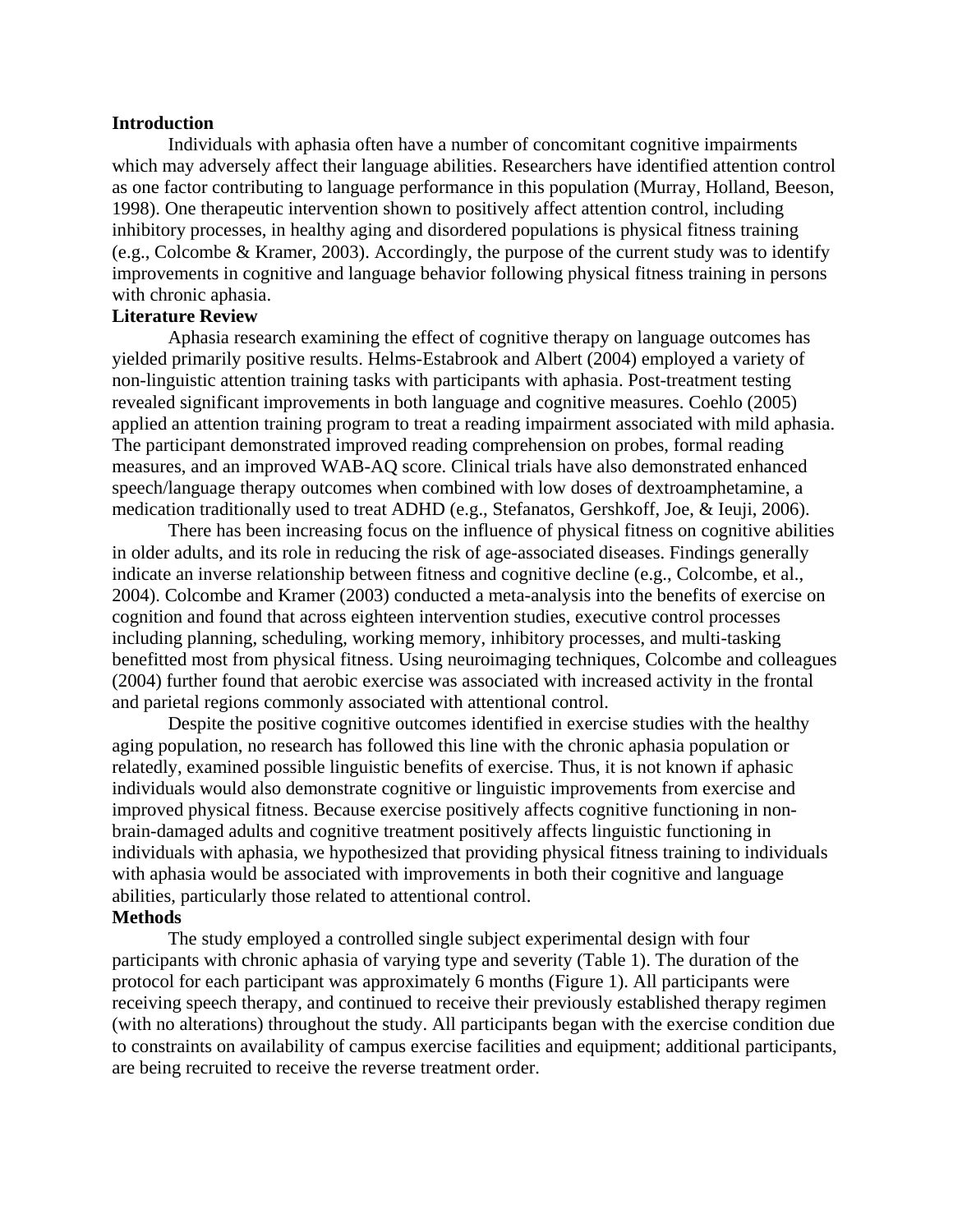#### **Introduction**

Individuals with aphasia often have a number of concomitant cognitive impairments which may adversely affect their language abilities. Researchers have identified attention control as one factor contributing to language performance in this population (Murray, Holland, Beeson, 1998). One therapeutic intervention shown to positively affect attention control, including inhibitory processes, in healthy aging and disordered populations is physical fitness training (e.g., Colcombe & Kramer, 2003). Accordingly, the purpose of the current study was to identify improvements in cognitive and language behavior following physical fitness training in persons with chronic aphasia.

## **Literature Review**

Aphasia research examining the effect of cognitive therapy on language outcomes has yielded primarily positive results. Helms-Estabrook and Albert (2004) employed a variety of non-linguistic attention training tasks with participants with aphasia. Post-treatment testing revealed significant improvements in both language and cognitive measures. Coehlo (2005) applied an attention training program to treat a reading impairment associated with mild aphasia. The participant demonstrated improved reading comprehension on probes, formal reading measures, and an improved WAB-AQ score. Clinical trials have also demonstrated enhanced speech/language therapy outcomes when combined with low doses of dextroamphetamine, a medication traditionally used to treat ADHD (e.g., Stefanatos, Gershkoff, Joe, & Ieuji, 2006).

There has been increasing focus on the influence of physical fitness on cognitive abilities in older adults, and its role in reducing the risk of age-associated diseases. Findings generally indicate an inverse relationship between fitness and cognitive decline (e.g., Colcombe, et al., 2004). Colcombe and Kramer (2003) conducted a meta-analysis into the benefits of exercise on cognition and found that across eighteen intervention studies, executive control processes including planning, scheduling, working memory, inhibitory processes, and multi-tasking benefitted most from physical fitness. Using neuroimaging techniques, Colcombe and colleagues (2004) further found that aerobic exercise was associated with increased activity in the frontal and parietal regions commonly associated with attentional control.

Despite the positive cognitive outcomes identified in exercise studies with the healthy aging population, no research has followed this line with the chronic aphasia population or relatedly, examined possible linguistic benefits of exercise. Thus, it is not known if aphasic individuals would also demonstrate cognitive or linguistic improvements from exercise and improved physical fitness. Because exercise positively affects cognitive functioning in nonbrain-damaged adults and cognitive treatment positively affects linguistic functioning in individuals with aphasia, we hypothesized that providing physical fitness training to individuals with aphasia would be associated with improvements in both their cognitive and language abilities, particularly those related to attentional control.

## **Methods**

The study employed a controlled single subject experimental design with four participants with chronic aphasia of varying type and severity (Table 1). The duration of the protocol for each participant was approximately 6 months (Figure 1). All participants were receiving speech therapy, and continued to receive their previously established therapy regimen (with no alterations) throughout the study. All participants began with the exercise condition due to constraints on availability of campus exercise facilities and equipment; additional participants, are being recruited to receive the reverse treatment order.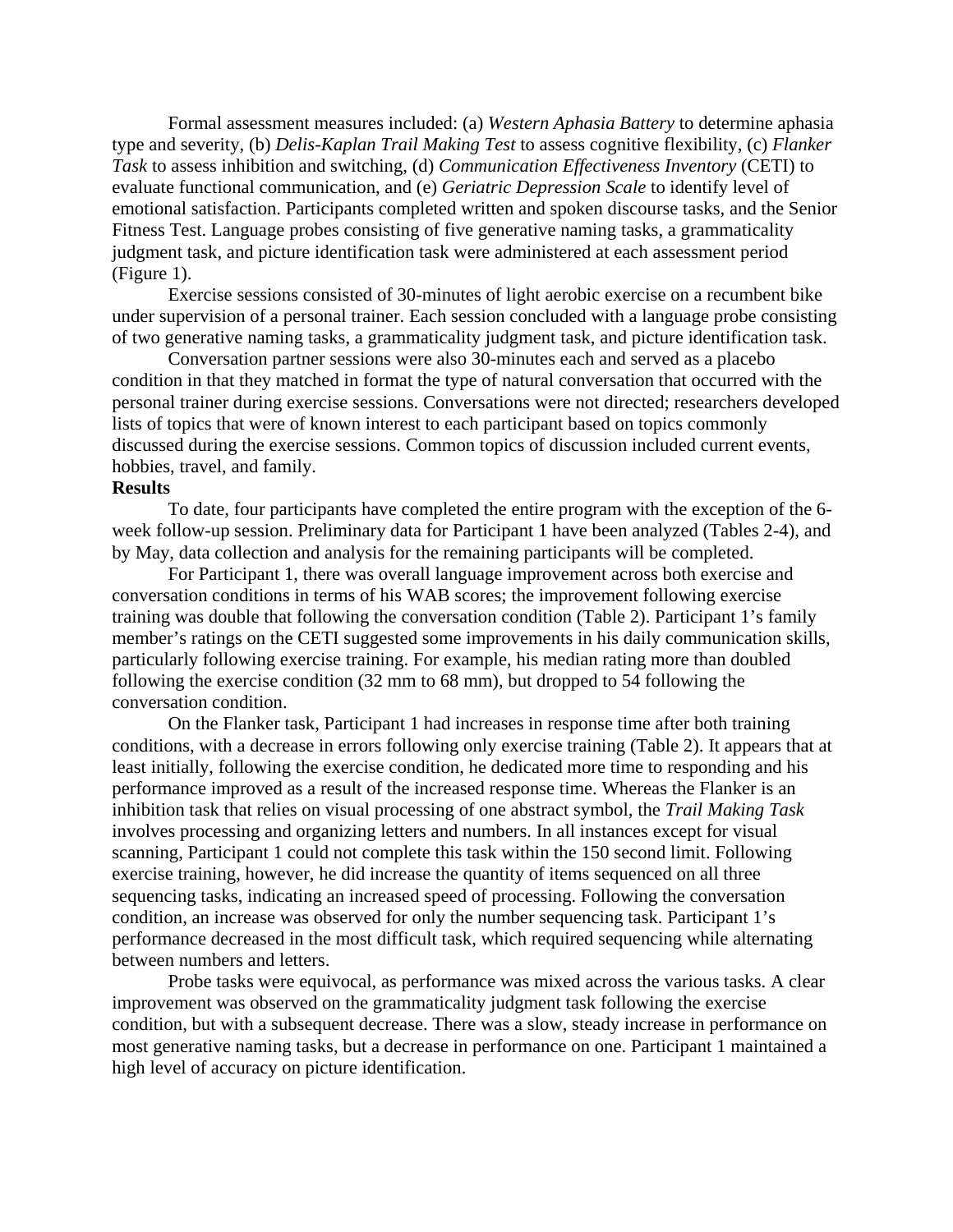Formal assessment measures included: (a) *Western Aphasia Battery* to determine aphasia type and severity, (b) *Delis-Kaplan Trail Making Test* to assess cognitive flexibility, (c) *Flanker Task* to assess inhibition and switching, (d) *Communication Effectiveness Inventory* (CETI) to evaluate functional communication, and (e) *Geriatric Depression Scale* to identify level of emotional satisfaction. Participants completed written and spoken discourse tasks, and the Senior Fitness Test. Language probes consisting of five generative naming tasks, a grammaticality judgment task, and picture identification task were administered at each assessment period (Figure 1).

Exercise sessions consisted of 30-minutes of light aerobic exercise on a recumbent bike under supervision of a personal trainer. Each session concluded with a language probe consisting of two generative naming tasks, a grammaticality judgment task, and picture identification task.

Conversation partner sessions were also 30-minutes each and served as a placebo condition in that they matched in format the type of natural conversation that occurred with the personal trainer during exercise sessions. Conversations were not directed; researchers developed lists of topics that were of known interest to each participant based on topics commonly discussed during the exercise sessions. Common topics of discussion included current events, hobbies, travel, and family.

### **Results**

To date, four participants have completed the entire program with the exception of the 6 week follow-up session. Preliminary data for Participant 1 have been analyzed (Tables 2-4), and by May, data collection and analysis for the remaining participants will be completed.

For Participant 1, there was overall language improvement across both exercise and conversation conditions in terms of his WAB scores; the improvement following exercise training was double that following the conversation condition (Table 2). Participant 1's family member's ratings on the CETI suggested some improvements in his daily communication skills, particularly following exercise training. For example, his median rating more than doubled following the exercise condition (32 mm to 68 mm), but dropped to 54 following the conversation condition.

On the Flanker task, Participant 1 had increases in response time after both training conditions, with a decrease in errors following only exercise training (Table 2). It appears that at least initially, following the exercise condition, he dedicated more time to responding and his performance improved as a result of the increased response time. Whereas the Flanker is an inhibition task that relies on visual processing of one abstract symbol, the *Trail Making Task* involves processing and organizing letters and numbers. In all instances except for visual scanning, Participant 1 could not complete this task within the 150 second limit. Following exercise training, however, he did increase the quantity of items sequenced on all three sequencing tasks, indicating an increased speed of processing. Following the conversation condition, an increase was observed for only the number sequencing task. Participant 1's performance decreased in the most difficult task, which required sequencing while alternating between numbers and letters.

Probe tasks were equivocal, as performance was mixed across the various tasks. A clear improvement was observed on the grammaticality judgment task following the exercise condition, but with a subsequent decrease. There was a slow, steady increase in performance on most generative naming tasks, but a decrease in performance on one. Participant 1 maintained a high level of accuracy on picture identification.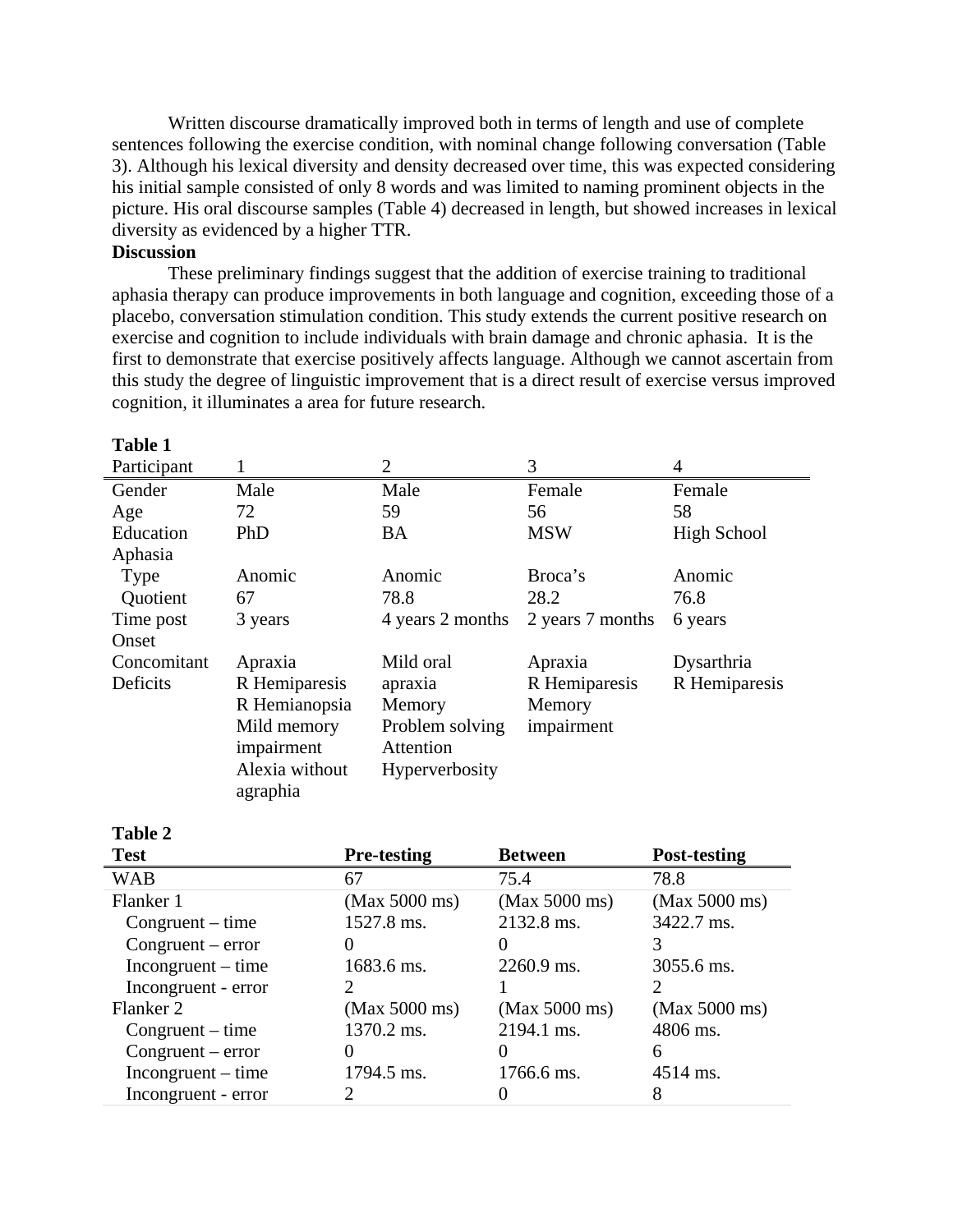Written discourse dramatically improved both in terms of length and use of complete sentences following the exercise condition, with nominal change following conversation (Table 3). Although his lexical diversity and density decreased over time, this was expected considering his initial sample consisted of only 8 words and was limited to naming prominent objects in the picture. His oral discourse samples (Table 4) decreased in length, but showed increases in lexical diversity as evidenced by a higher TTR.

# **Discussion**

These preliminary findings suggest that the addition of exercise training to traditional aphasia therapy can produce improvements in both language and cognition, exceeding those of a placebo, conversation stimulation condition. This study extends the current positive research on exercise and cognition to include individuals with brain damage and chronic aphasia. It is the first to demonstrate that exercise positively affects language. Although we cannot ascertain from this study the degree of linguistic improvement that is a direct result of exercise versus improved cognition, it illuminates a area for future research.

| <b>Table 1</b> |                |                  |                  |               |
|----------------|----------------|------------------|------------------|---------------|
| Participant    |                | $\overline{2}$   | 3                | 4             |
| Gender         | Male           | Male             | Female           | Female        |
| Age            | 72             | 59               | 56               | 58            |
| Education      | PhD            | <b>BA</b>        | <b>MSW</b>       | High School   |
| Aphasia        |                |                  |                  |               |
| Type           | Anomic         | Anomic           | Broca's          | Anomic        |
| Quotient       | 67             | 78.8             | 28.2             | 76.8          |
| Time post      | 3 years        | 4 years 2 months | 2 years 7 months | 6 years       |
| Onset          |                |                  |                  |               |
| Concomitant    | Apraxia        | Mild oral        | Apraxia          | Dysarthria    |
| Deficits       | R Hemiparesis  | apraxia          | R Hemiparesis    | R Hemiparesis |
|                | R Hemianopsia  | Memory           | Memory           |               |
|                | Mild memory    | Problem solving  | impairment       |               |
|                | impairment     | Attention        |                  |               |
|                | Alexia without | Hyperverbosity   |                  |               |
|                | agraphia       |                  |                  |               |

| <b>Test</b>          | <b>Pre-testing</b> | <b>Between</b> | <b>Post-testing</b> |
|----------------------|--------------------|----------------|---------------------|
| <b>WAB</b>           | 67                 | 75.4           | 78.8                |
| Flanker 1            | (Max 5000 ms)      | (Max 5000 ms)  | (Max 5000 ms)       |
| $Congruent-time$     | 1527.8 ms.         | 2132.8 ms.     | 3422.7 ms.          |
| $Congruent-error$    |                    |                |                     |
| $Incongruent - time$ | 1683.6 ms.         | 2260.9 ms.     | 3055.6 ms.          |
| Incongruent - error  |                    |                |                     |
| Flanker 2            | (Max 5000 ms)      | (Max 5000 ms)  | (Max 5000 ms)       |
| $Congruent-time$     | 1370.2 ms.         | 2194.1 ms.     | 4806 ms.            |
| $Congruent-error$    |                    |                | 6                   |
| $Incongruent - time$ | 1794.5 ms.         | 1766.6 ms.     | 4514 ms.            |
| Incongruent - error  |                    |                | 8                   |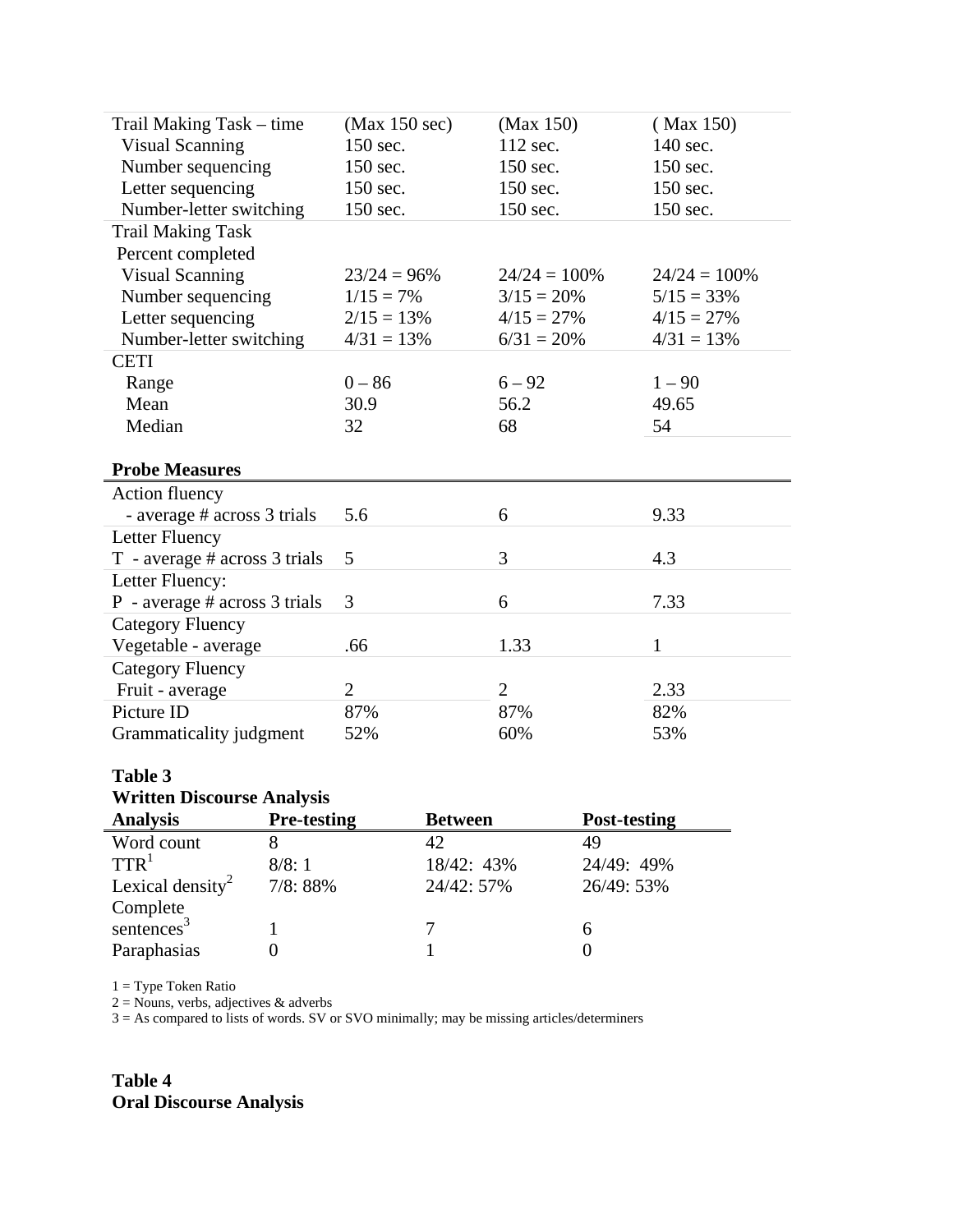| Trail Making Task – time          | (Max 150 sec)  | (Max 150)       | (Max 150)      |
|-----------------------------------|----------------|-----------------|----------------|
| <b>Visual Scanning</b>            | 150 sec.       | 112 sec.        | 140 sec.       |
| Number sequencing                 | 150 sec.       | 150 sec.        | 150 sec.       |
| Letter sequencing                 | 150 sec.       | 150 sec.        | 150 sec.       |
| Number-letter switching           | 150 sec.       | 150 sec.        | 150 sec.       |
| <b>Trail Making Task</b>          |                |                 |                |
| Percent completed                 |                |                 |                |
| <b>Visual Scanning</b>            | $23/24 = 96\%$ | $24/24 = 100\%$ | $24/24 = 100%$ |
| Number sequencing                 | $1/15 = 7\%$   | $3/15 = 20\%$   | $5/15 = 33\%$  |
| Letter sequencing                 | $2/15 = 13\%$  | $4/15 = 27\%$   | $4/15 = 27\%$  |
| Number-letter switching           | $4/31 = 13%$   | $6/31 = 20\%$   | $4/31 = 13%$   |
| <b>CETI</b>                       |                |                 |                |
| Range                             | $0 - 86$       | $6 - 92$        | $1 - 90$       |
| Mean                              | 30.9           | 56.2            | 49.65          |
| Median                            | 32             | 68              | 54             |
|                                   |                |                 |                |
| <b>Probe Measures</b>             |                |                 |                |
| Action fluency                    |                |                 |                |
| - average # across 3 trials       | 5.6            | 6               | 9.33           |
| Letter Fluency                    |                |                 |                |
| T - average # across 3 trials     | 5              | 3               | 4.3            |
| Letter Fluency:                   |                |                 |                |
| P - average $#$ across 3 trials   | 3              | 6               | 7.33           |
| <b>Category Fluency</b>           |                |                 |                |
| Vegetable - average               | .66            | 1.33            | $\mathbf{1}$   |
| <b>Category Fluency</b>           |                |                 |                |
| Fruit - average                   | $\overline{2}$ | $\overline{2}$  | 2.33           |
| Picture ID                        | 87%            | 87%             | 82%            |
| Grammaticality judgment           | 52%            | 60%             | 53%            |
|                                   |                |                 |                |
| <b>Table 3</b>                    |                |                 |                |
| <b>Written Discourse Analysis</b> |                |                 |                |

| <b>Analysis</b>              | <b>Pre-testing</b> | <b>Between</b> | <b>Post-testing</b> |
|------------------------------|--------------------|----------------|---------------------|
| Word count                   |                    |                | 49                  |
| TTR <sup>1</sup>             | 8/8:1              | 18/42: 43%     | 24/49: 49%          |
| Lexical density <sup>2</sup> | 7/8:88%            | 24/42: 57%     | 26/49: 53%          |
| Complete                     |                    |                |                     |
| sentences <sup>3</sup>       |                    |                | h                   |
| Paraphasias                  |                    |                |                     |

1 = Type Token Ratio

 $2 =$  Nouns, verbs, adjectives  $\&$  adverbs

3 = As compared to lists of words. SV or SVO minimally; may be missing articles/determiners

**Table 4 Oral Discourse Analysis**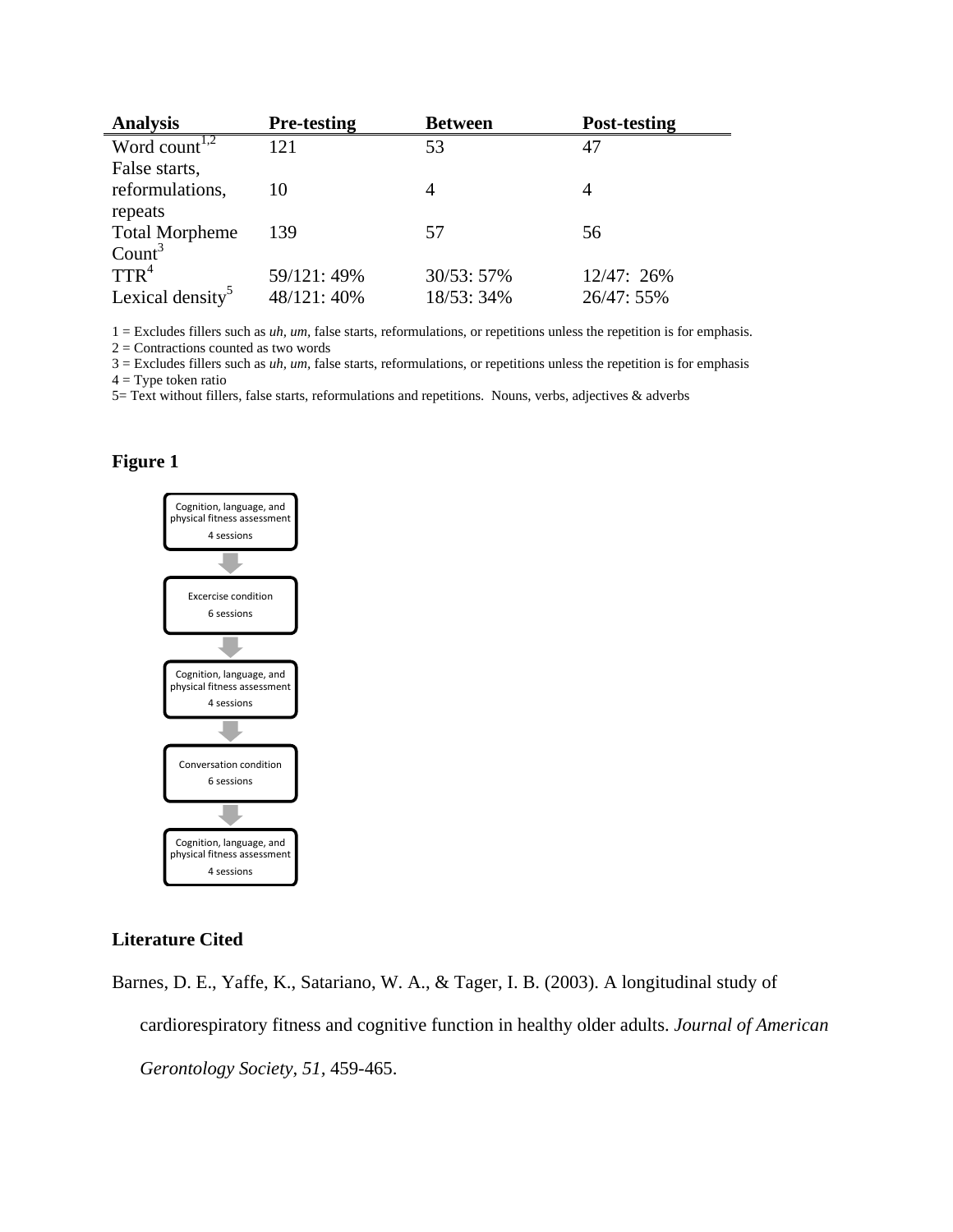| <b>Analysis</b>                                   | <b>Pre-testing</b> | <b>Between</b> | Post-testing |
|---------------------------------------------------|--------------------|----------------|--------------|
| Word count <sup><math>\overline{1,2}</math></sup> | 121                | 53             | 47           |
| False starts,                                     |                    |                |              |
| reformulations,                                   | 10                 | 4              |              |
| repeats                                           |                    |                |              |
| <b>Total Morpheme</b>                             | 139                | 57             | 56           |
| Count <sup>3</sup>                                |                    |                |              |
| $TTR^4$                                           | 59/121:49%         | 30/53: 57%     | 12/47: 26%   |
| Lexical density <sup>5</sup>                      | 48/121:40%         | 18/53: 34%     | 26/47: 55%   |

1 = Excludes fillers such as *uh, um,* false starts, reformulations, or repetitions unless the repetition is for emphasis.

2 = Contractions counted as two words

3 = Excludes fillers such as *uh, um,* false starts, reformulations, or repetitions unless the repetition is for emphasis

 $4 = Type$  token ratio

5= Text without fillers, false starts, reformulations and repetitions. Nouns, verbs, adjectives & adverbs

## **Figure 1**



#### **Literature Cited**

Barnes, D. E., Yaffe, K., Satariano, W. A., & Tager, I. B. (2003). A longitudinal study of cardiorespiratory fitness and cognitive function in healthy older adults. *Journal of American Gerontology Society, 51,* 459-465.